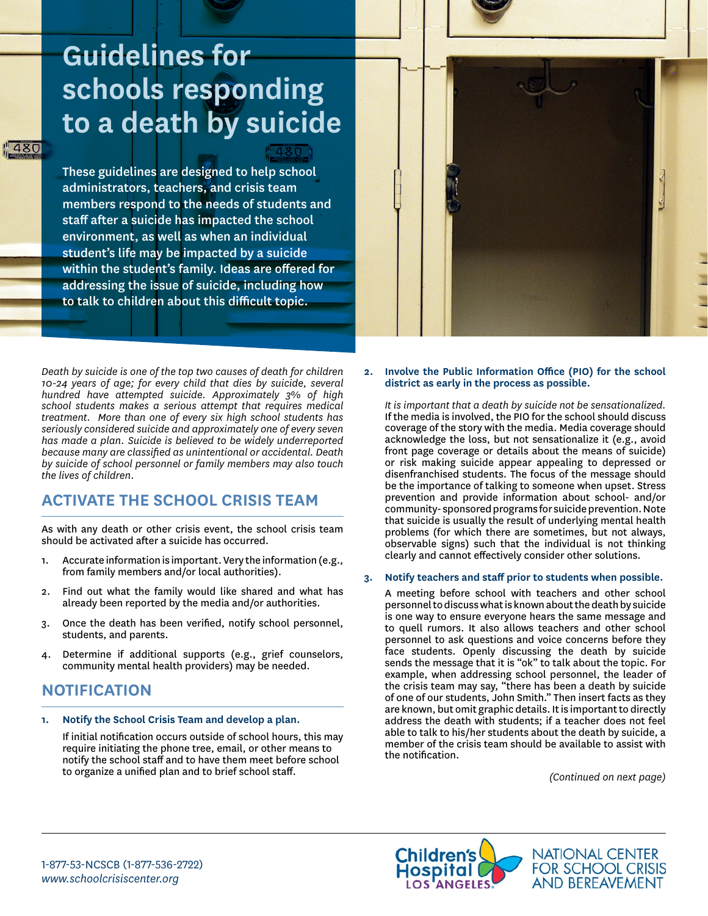# **Guidelines for schools responding to a death by suicide**

480

These guidelines are designed to help school administrators, teachers, and crisis team members respond to the needs of students and staff after a suicide has impacted the school environment, as well as when an individual student's life may be impacted by a suicide within the student's family. Ideas are offered for addressing the issue of suicide, including how to talk to children about this difficult topic.

*Death by suicide is one of the top two causes of death for children 10-24 years of age; for every child that dies by suicide, several hundred have attempted suicide. Approximately 3% of high school students makes a serious attempt that requires medical treatment. More than one of every six high school students has seriously considered suicide and approximately one of every seven has made a plan. Suicide is believed to be widely underreported because many are classified as unintentional or accidental. Death by suicide of school personnel or family members may also touch the lives of children.*

# **ACTIVATE THE SCHOOL CRISIS TEAM**

As with any death or other crisis event, the school crisis team should be activated after a suicide has occurred.

- 1. Accurate information is important. Very the information (e.g., from family members and/or local authorities).
- 2. Find out what the family would like shared and what has already been reported by the media and/or authorities.
- 3. Once the death has been verified, notify school personnel, students, and parents.
- 4. Determine if additional supports (e.g., grief counselors, community mental health providers) may be needed.

# **NOTIFICATION**

**1. Notify the School Crisis Team and develop a plan.**

If initial notification occurs outside of school hours, this may require initiating the phone tree, email, or other means to notify the school staff and to have them meet before school to organize a unified plan and to brief school staff.

**2. Involve the Public Information Office (PIO) for the school district as early in the process as possible.** 

*It is important that a death by suicide not be sensationalized.* If the media is involved, the PIO for the school should discuss coverage of the story with the media. Media coverage should acknowledge the loss, but not sensationalize it (e.g., avoid front page coverage or details about the means of suicide) or risk making suicide appear appealing to depressed or disenfranchised students. The focus of the message should be the importance of talking to someone when upset. Stress prevention and provide information about school- and/or community- sponsored programs for suicide prevention. Note that suicide is usually the result of underlying mental health problems (for which there are sometimes, but not always, observable signs) such that the individual is not thinking clearly and cannot effectively consider other solutions.

#### **3. Notify teachers and staff prior to students when possible.**

A meeting before school with teachers and other school personnel to discuss what is known about the death by suicide is one way to ensure everyone hears the same message and to quell rumors. It also allows teachers and other school personnel to ask questions and voice concerns before they face students. Openly discussing the death by suicide sends the message that it is "ok" to talk about the topic. For example, when addressing school personnel, the leader of the crisis team may say, "there has been a death by suicide of one of our students, John Smith." Then insert facts as they are known, but omit graphic details. It is important to directly address the death with students; if a teacher does not feel able to talk to his/her students about the death by suicide, a member of the crisis team should be available to assist with the notification.

*(Continued on next page)*

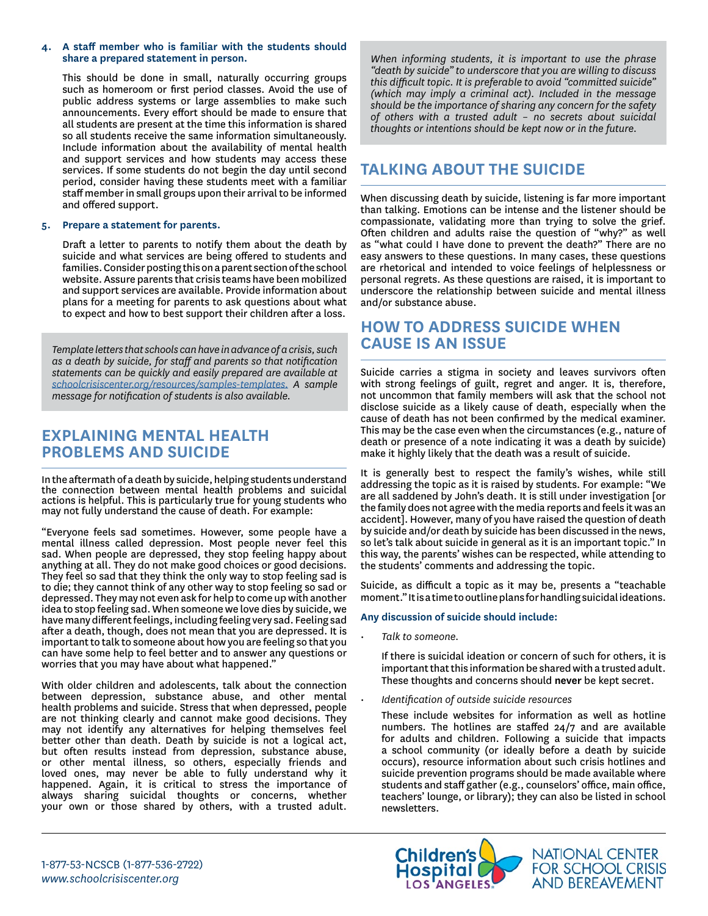#### **4. A staff member who is familiar with the students should share a prepared statement in person.**

This should be done in small, naturally occurring groups such as homeroom or first period classes. Avoid the use of public address systems or large assemblies to make such announcements. Every effort should be made to ensure that all students are present at the time this information is shared so all students receive the same information simultaneously. Include information about the availability of mental health and support services and how students may access these services. If some students do not begin the day until second period, consider having these students meet with a familiar staff member in small groups upon their arrival to be informed and offered support.

#### **5. Prepare a statement for parents.**

Draft a letter to parents to notify them about the death by suicide and what services are being offered to students and families. Consider posting this on a parent section of the school website. Assure parents that crisis teams have been mobilized and support services are available. Provide information about plans for a meeting for parents to ask questions about what to expect and how to best support their children after a loss.

*Template letters that schools can have in advance of a crisis, such as a death by suicide, for staff and parents so that notification statements can be quickly and easily prepared are available at [schoolcrisiscenter.org/resources/samples-templates.](https://www.schoolcrisiscenter.org/resources/samples-templates/) A sample message for notification of students is also available.*

## **EXPLAINING MENTAL HEALTH PROBLEMS AND SUICIDE**

In the aftermath of a death by suicide, helping students understand the connection between mental health problems and suicidal actions is helpful. This is particularly true for young students who may not fully understand the cause of death. For example:

"Everyone feels sad sometimes. However, some people have a mental illness called depression. Most people never feel this sad. When people are depressed, they stop feeling happy about anything at all. They do not make good choices or good decisions. They feel so sad that they think the only way to stop feeling sad is to die; they cannot think of any other way to stop feeling so sad or depressed. They may not even ask for help to come up with another idea to stop feeling sad. When someone we love dies by suicide, we have many different feelings, including feeling very sad. Feeling sad after a death, though, does not mean that you are depressed. It is important to talk to someone about how you are feeling so that you can have some help to feel better and to answer any questions or worries that you may have about what happened."

With older children and adolescents, talk about the connection between depression, substance abuse, and other mental health problems and suicide. Stress that when depressed, people are not thinking clearly and cannot make good decisions. They may not identify any alternatives for helping themselves feel better other than death. Death by suicide is not a logical act, but often results instead from depression, substance abuse, or other mental illness, so others, especially friends and loved ones, may never be able to fully understand why it happened. Again, it is critical to stress the importance of always sharing suicidal thoughts or concerns, whether your own or those shared by others, with a trusted adult.

*When informing students, it is important to use the phrase "death by suicide" to underscore that you are willing to discuss this difficult topic. It is preferable to avoid "committed suicide" (which may imply a criminal act). Included in the message should be the importance of sharing any concern for the safety of others with a trusted adult – no secrets about suicidal thoughts or intentions should be kept now or in the future.* 

# **TALKING ABOUT THE SUICIDE**

When discussing death by suicide, listening is far more important than talking. Emotions can be intense and the listener should be compassionate, validating more than trying to solve the grief. Often children and adults raise the question of "why?" as well as "what could I have done to prevent the death?" There are no easy answers to these questions. In many cases, these questions are rhetorical and intended to voice feelings of helplessness or personal regrets. As these questions are raised, it is important to underscore the relationship between suicide and mental illness and/or substance abuse.

## **HOW TO ADDRESS SUICIDE WHEN CAUSE IS AN ISSUE**

Suicide carries a stigma in society and leaves survivors often with strong feelings of guilt, regret and anger. It is, therefore, not uncommon that family members will ask that the school not disclose suicide as a likely cause of death, especially when the cause of death has not been confirmed by the medical examiner. This may be the case even when the circumstances (e.g., nature of death or presence of a note indicating it was a death by suicide) make it highly likely that the death was a result of suicide.

It is generally best to respect the family's wishes, while still addressing the topic as it is raised by students. For example: "We are all saddened by John's death. It is still under investigation [or the family does not agree with the media reports and feels it was an accident]. However, many of you have raised the question of death by suicide and/or death by suicide has been discussed in the news, so let's talk about suicide in general as it is an important topic." In this way, the parents' wishes can be respected, while attending to the students' comments and addressing the topic.

Suicide, as difficult a topic as it may be, presents a "teachable moment." It is a time to outline plans for handling suicidal ideations.

#### **Any discussion of suicide should include:**

*• Talk to someone.*

If there is suicidal ideation or concern of such for others, it is important that this information be shared with a trusted adult. These thoughts and concerns should **never** be kept secret.

*• Identification of outside suicide resources*

These include websites for information as well as hotline numbers. The hotlines are staffed 24/7 and are available for adults and children. Following a suicide that impacts a school community (or ideally before a death by suicide occurs), resource information about such crisis hotlines and suicide prevention programs should be made available where students and staff gather (e.g., counselors' office, main office, teachers' lounge, or library); they can also be listed in school newsletters.

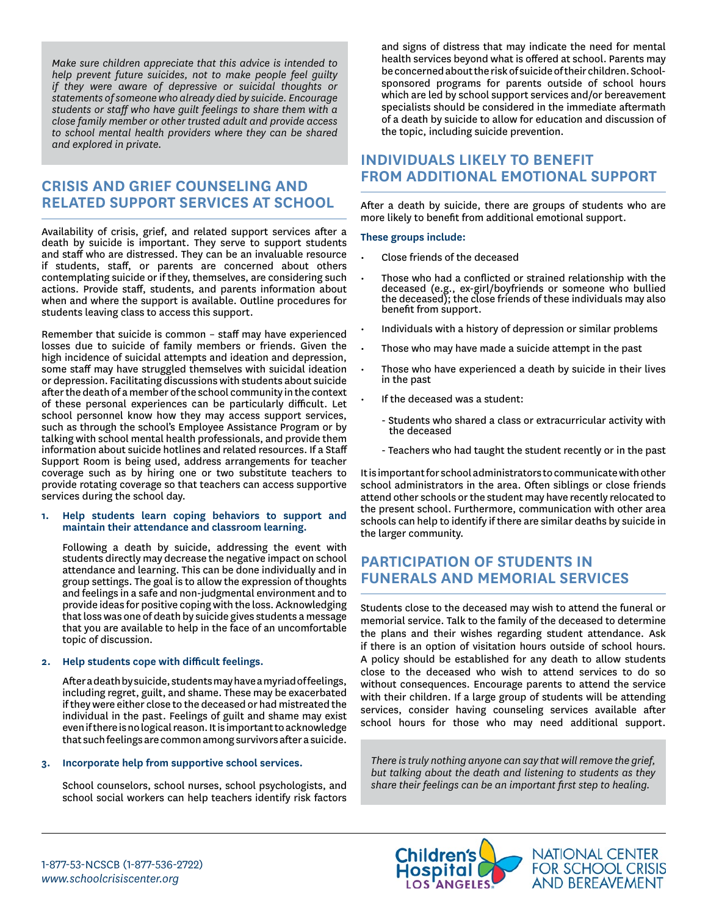*Make sure children appreciate that this advice is intended to help prevent future suicides, not to make people feel guilty if they were aware of depressive or suicidal thoughts or statements of someone who already died by suicide. Encourage students or staff who have guilt feelings to share them with a close family member or other trusted adult and provide access to school mental health providers where they can be shared and explored in private.* 

## **CRISIS AND GRIEF COUNSELING AND RELATED SUPPORT SERVICES AT SCHOOL**

Availability of crisis, grief, and related support services after a death by suicide is important. They serve to support students and staff who are distressed. They can be an invaluable resource if students, staff, or parents are concerned about others contemplating suicide or if they, themselves, are considering such actions. Provide staff, students, and parents information about when and where the support is available. Outline procedures for students leaving class to access this support.

Remember that suicide is common – staff may have experienced losses due to suicide of family members or friends. Given the high incidence of suicidal attempts and ideation and depression, some staff may have struggled themselves with suicidal ideation or depression. Facilitating discussions with students about suicide after the death of a member of the school community in the context of these personal experiences can be particularly difficult. Let school personnel know how they may access support services, such as through the school's Employee Assistance Program or by talking with school mental health professionals, and provide them information about suicide hotlines and related resources. If a Staff Support Room is being used, address arrangements for teacher coverage such as by hiring one or two substitute teachers to provide rotating coverage so that teachers can access supportive services during the school day.

#### **1. Help students learn coping behaviors to support and maintain their attendance and classroom learning.**

Following a death by suicide, addressing the event with students directly may decrease the negative impact on school attendance and learning. This can be done individually and in group settings. The goal is to allow the expression of thoughts and feelings in a safe and non-judgmental environment and to provide ideas for positive coping with the loss. Acknowledging that loss was one of death by suicide gives students a message that you are available to help in the face of an uncomfortable topic of discussion.

#### **2. Help students cope with difficult feelings.**

After a death by suicide, students may have a myriad of feelings, including regret, guilt, and shame. These may be exacerbated if they were either close to the deceased or had mistreated the individual in the past. Feelings of guilt and shame may exist even if there is no logical reason. It is important to acknowledge that such feelings are common among survivors after a suicide.

#### **3. Incorporate help from supportive school services.**

School counselors, school nurses, school psychologists, and school social workers can help teachers identify risk factors and signs of distress that may indicate the need for mental health services beyond what is offered at school. Parents may be concerned about the risk of suicide of their children. Schoolsponsored programs for parents outside of school hours which are led by school support services and/or bereavement specialists should be considered in the immediate aftermath of a death by suicide to allow for education and discussion of the topic, including suicide prevention.

## **INDIVIDUALS LIKELY TO BENEFIT FROM ADDITIONAL EMOTIONAL SUPPORT**

After a death by suicide, there are groups of students who are more likely to benefit from additional emotional support.

#### **These groups include:**

- Close friends of the deceased
- Those who had a conflicted or strained relationship with the deceased (e.g., ex-girl/boyfriends or someone who bullied the deceased); the close friends of these individuals may also benefit from support.
- Individuals with a history of depression or similar problems
- Those who may have made a suicide attempt in the past
- Those who have experienced a death by suicide in their lives in the past
- If the deceased was a student:
	- Students who shared a class or extracurricular activity with the deceased
	- Teachers who had taught the student recently or in the past

It is important for school administrators to communicate with other school administrators in the area. Often siblings or close friends attend other schools or the student may have recently relocated to the present school. Furthermore, communication with other area schools can help to identify if there are similar deaths by suicide in the larger community.

## **PARTICIPATION OF STUDENTS IN FUNERALS AND MEMORIAL SERVICES**

Students close to the deceased may wish to attend the funeral or memorial service. Talk to the family of the deceased to determine the plans and their wishes regarding student attendance. Ask if there is an option of visitation hours outside of school hours. A policy should be established for any death to allow students close to the deceased who wish to attend services to do so without consequences. Encourage parents to attend the service with their children. If a large group of students will be attending services, consider having counseling services available after school hours for those who may need additional support.

*There is truly nothing anyone can say that will remove the grief, but talking about the death and listening to students as they share their feelings can be an important first step to healing.*